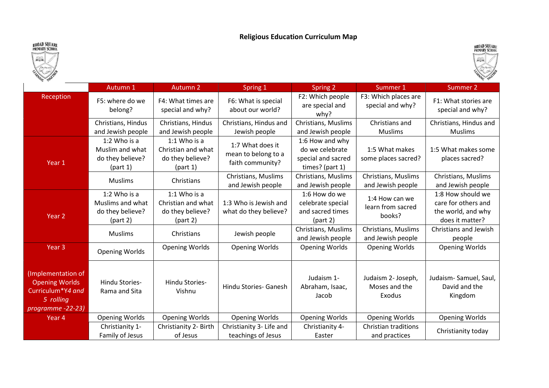## Religious Education Curriculum Map





|                                                                                                   | Autumn 1                                                         | <b>Autumn 2</b>                                                      | Spring 1                                                    | Spring 2                                                                    | Summer 1                                      | Summer 2                                                                          |
|---------------------------------------------------------------------------------------------------|------------------------------------------------------------------|----------------------------------------------------------------------|-------------------------------------------------------------|-----------------------------------------------------------------------------|-----------------------------------------------|-----------------------------------------------------------------------------------|
| Reception                                                                                         | F5: where do we<br>belong?                                       | F4: What times are<br>special and why?                               | F6: What is special<br>about our world?                     | F2: Which people<br>are special and<br>why?                                 | F3: Which places are<br>special and why?      | F1: What stories are<br>special and why?                                          |
|                                                                                                   | Christians, Hindus<br>and Jewish people                          | Christians, Hindus<br>and Jewish people                              | Christians, Hindus and<br>Jewish people                     | Christians, Muslims<br>and Jewish people                                    | Christians and<br><b>Muslims</b>              | Christians, Hindus and<br><b>Muslims</b>                                          |
| Year 1                                                                                            | 1:2 Who is a<br>Muslim and what<br>do they believe?<br>(part 1)  | 1:1 Who is a<br>Christian and what<br>do they believe?<br>(part 1)   | 1:7 What does it<br>mean to belong to a<br>faith community? | 1:6 How and why<br>do we celebrate<br>special and sacred<br>times? (part 1) | 1:5 What makes<br>some places sacred?         | 1:5 What makes some<br>places sacred?                                             |
|                                                                                                   | <b>Muslims</b>                                                   | Christians                                                           | Christians, Muslims<br>and Jewish people                    | Christians, Muslims<br>and Jewish people                                    | Christians, Muslims<br>and Jewish people      | Christians, Muslims<br>and Jewish people                                          |
| Year <sub>2</sub>                                                                                 | 1:2 Who is a<br>Muslims and what<br>do they believe?<br>(part 2) | $1:1$ Who is a<br>Christian and what<br>do they believe?<br>(part 2) | 1:3 Who is Jewish and<br>what do they believe?              | 1:6 How do we<br>celebrate special<br>and sacred times<br>(part 2)          | 1:4 How can we<br>learn from sacred<br>books? | 1:8 How should we<br>care for others and<br>the world, and why<br>does it matter? |
|                                                                                                   | <b>Muslims</b>                                                   | Christians                                                           | Jewish people                                               | Christians, Muslims<br>and Jewish people                                    | Christians, Muslims<br>and Jewish people      | Christians and Jewish<br>people                                                   |
| Year <sub>3</sub>                                                                                 | <b>Opening Worlds</b>                                            | <b>Opening Worlds</b>                                                | <b>Opening Worlds</b>                                       | <b>Opening Worlds</b>                                                       | <b>Opening Worlds</b>                         | <b>Opening Worlds</b>                                                             |
| Implementation of<br><b>Opening Worlds</b><br>Curriculum*Y4 and<br>5 rolling<br>programme -22-23) | Hindu Stories-<br>Rama and Sita                                  | Hindu Stories-<br>Vishnu                                             | Hindu Stories- Ganesh                                       | Judaism 1-<br>Abraham, Isaac,<br>Jacob                                      | Judaism 2- Joseph,<br>Moses and the<br>Exodus | Judaism-Samuel, Saul,<br>David and the<br>Kingdom                                 |
| Year 4                                                                                            | <b>Opening Worlds</b>                                            | <b>Opening Worlds</b>                                                | <b>Opening Worlds</b>                                       | <b>Opening Worlds</b>                                                       | <b>Opening Worlds</b>                         | <b>Opening Worlds</b>                                                             |
|                                                                                                   | Christianity 1-<br>Family of Jesus                               | Christianity 2- Birth<br>of Jesus                                    | Christianity 3- Life and<br>teachings of Jesus              | Christianity 4-<br>Easter                                                   | Christian traditions<br>and practices         | Christianity today                                                                |